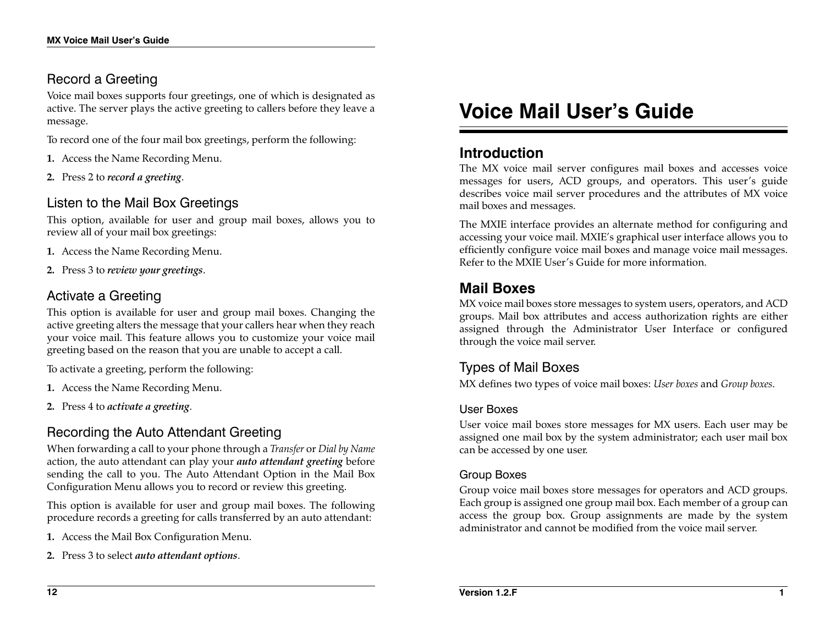# Record a Greeting

Voice mail boxes supports four greetings, one of which is designated as active. The server plays the active greeting to callers before they leave a message.

To record one of the four mail box greetings, perform the following:

- **1.** Access the Name Recording Menu.
- **2.** Press 2 to *record a greeting*.

# Listen to the Mail Box Greetings

This option, available for user and group mail boxes, allows you to review all of your mail box greetings:

- **1.** Access the Name Recording Menu.
- **2.** Press 3 to *review your greetings*.

# Activate a Greeting

This option is available for user and group mail boxes. Changing the active greeting alters the message that your callers hear when they reach your voice mail. This feature allows you to customize your voice mail greeting based on the reason that you are unable to accept a call.

To activate a greeting, perform the following:

- **1.** Access the Name Recording Menu.
- **2.** Press 4 to *activate a greeting*.

# Recording the Auto Attendant Greeting

When forwarding a call to your phone through a *Transfer* or *Dial by Name* action, the auto attendant can play your *auto attendant greeting* before sending the call to you. The Auto Attendant Option in the Mail Box Configuration Menu allows you to record or review this greeting.

This option is available for user and group mail boxes. The following procedure records a greeting for calls transferred by an auto attendant:

- **1.** Access the Mail Box Configuration Menu.
- **2.** Press 3 to select *auto attendant options*.

# **Voice Mail User's Guide**

# **Introduction**

The MX voice mail server configures mail boxes and accesses voice messages for users, ACD groups, and operators. This user's guide describes voice mail server procedures and the attributes of MX voice mail boxes and messages.

The MXIE interface provides an alternate method for configuring and accessing your voice mail. MXIE's graphical user interface allows you to efficiently configure voice mail boxes and manage voice mail messages. Refer to the MXIE User's Guide for more information.

# **Mail Boxes**

MX voice mail boxes store messages to system users, operators, and ACD groups. Mail box attributes and access authorization rights are either assigned through the Administrator User Interface or configured through the voice mail server.

# Types of Mail Boxes

MX defines two types of voice mail boxes: *User boxes* and *Group boxes*.

### User Boxes

User voice mail boxes store messages for MX users. Each user may be assigned one mail box by the system administrator; each user mail box can be accessed by one user.

### Group Boxes

Group voice mail boxes store messages for operators and ACD groups. Each group is assigned one group mail box. Each member of a group can access the group box. Group assignments are made by the system administrator and cannot be modified from the voice mail server.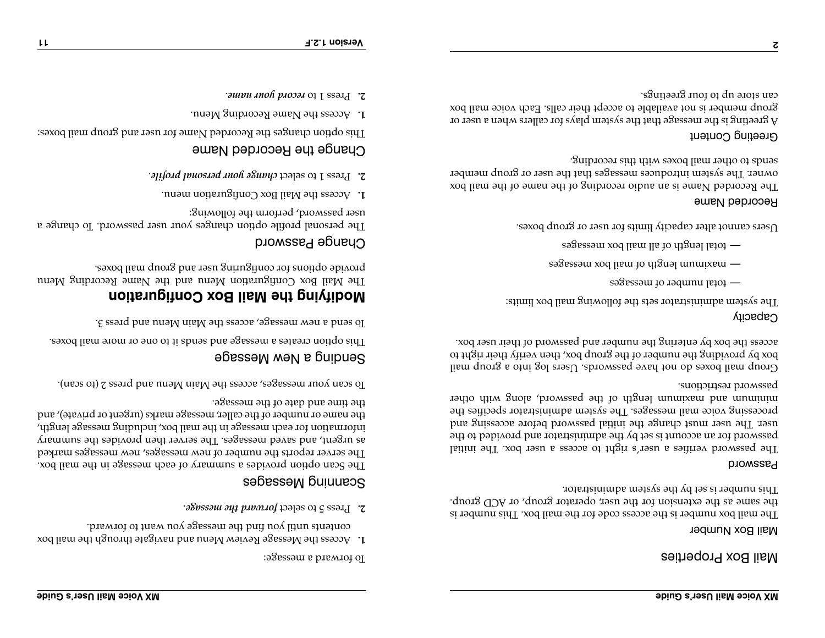Mail Box Properties

#### Mail Box Number

The mail box number is the access code for the mail box. This number is the same as the extension for the user, operator group, or  $ACD$  group. This number is set by the system administrator.

#### Password

The password verifies a user's right to access a user box. The initial password for an account is set by the administrator and provided to the itial password password password pepersystem and performance such and push change in the suite such a user  $\mathbb{R}$ processing voice mail messages. The system administrator specifies the the password paragret password with other manifest with other password restrictions.

Group mail boxes do not have passwords. Users log into a group mail box, the providing the number of the group box, then verify the number of the number of the number of the numb access the box by entering the number and password of their user box.

#### Capacity

The system administrator sets the following mail box limits:

- total number of messages **—**
- maximum length of mail box messages **—**
- total length of all mail box messages **—**

Users cannot alter capacity limits for user or group boxes.

#### Recorded Name

The Recorded Name is an audio recording of the name of the mail box owner. The system introduces messages that the user or group member sends to other mail boxes with this recording.

### Greeting Content

**2**

A greeting is the message that the system plays for callers when a user or group member is not available to accept their calls. Each voice mail box can store up to four greetings.

To forward a message:

- Access the Message Review Menu and navigate through the mail box **1.** contents until you find the message you want to forward.
- 2. Press 5 to select forward the message.

### Scanning Messages

The Scan option message is not mumary of each message in the mail box. The server reports the number of new messages, new messages marked as urgent, and saved messages. The server then provides the summary information for each message in the mail box, including message length, the name or number of the caller, message marks (urgent or private), and

the time and date of the message.

To scan your messages, access the Main Menu and press 2 (to scan).

### Sending a New Message

This option creates a masses and sends it to one or more mail boxes.

To send a new message, access the Main Menu and press 3.

# **Modifying the Mail Box Configuration**

The Mail Box Configuration Menu and the Name Recording Menu gexod lism quorg bns rəsu gniruginos roj snoilqo əbivorq.

### Change Password

The personal profile option changes your user password. To change a user password, perform the following:

- Access the Mail Box Configuration menu. **1.**
- . *change your personal profile* Press 1 to select **2.**

## Change the Recorded Name

This option changes the Recorded Mame for user and group mail boxes:

- Access the Name Recording Menu. **1.**
- . *record your name* Press 1 to **2.**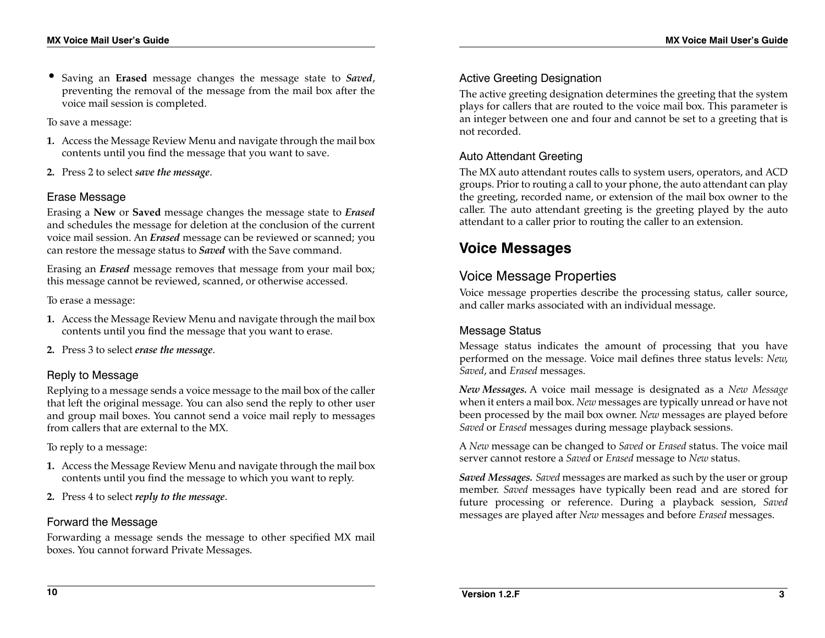• Saving an **Erased** message changes the message state to *Saved*, preventing the removal of the message from the mail box after the voice mail session is completed.

To save a message:

- **1.** Access the Message Review Menu and navigate through the mail box contents until you find the message that you want to save.
- **2.** Press 2 to select *save the message*.

#### Erase Message

Erasing a **New** or **Saved** message changes the message state to *Erased* and schedules the message for deletion at the conclusion of the current voice mail session. An *Erased* message can be reviewed or scanned; you can restore the message status to *Saved* with the Save command.

Erasing an *Erased* message removes that message from your mail box; this message cannot be reviewed, scanned, or otherwise accessed.

To erase a message:

- **1.** Access the Message Review Menu and navigate through the mail box contents until you find the message that you want to erase.
- **2.** Press 3 to select *erase the message*.

### Reply to Message

Replying to a message sends a voice message to the mail box of the caller that left the original message. You can also send the reply to other user and group mail boxes. You cannot send a voice mail reply to messages from callers that are external to the MX.

To reply to a message:

- **1.** Access the Message Review Menu and navigate through the mail box contents until you find the message to which you want to reply.
- **2.** Press 4 to select *reply to the message*.

### Forward the Message

Forwarding a message sends the message to other specified MX mail boxes. You cannot forward Private Messages.

### Active Greeting Designation

The active greeting designation determines the greeting that the system plays for callers that are routed to the voice mail box. This parameter is an integer between one and four and cannot be set to a greeting that is not recorded.

### Auto Attendant Greeting

The MX auto attendant routes calls to system users, operators, and ACD groups. Prior to routing a call to your phone, the auto attendant can play the greeting, recorded name, or extension of the mail box owner to the caller. The auto attendant greeting is the greeting played by the auto attendant to a caller prior to routing the caller to an extension.

# **Voice Messages**

### Voice Message Properties

Voice message properties describe the processing status, caller source, and caller marks associated with an individual message.

### Message Status

Message status indicates the amount of processing that you have performed on the message. Voice mail defines three status levels: *New*, *Saved*, and *Erased* messages.

*New Messages.* A voice mail message is designated as a *New Message* when it enters a mail box. *New* messages are typically unread or have not been processed by the mail box owner. *New* messages are played before *Saved* or *Erased* messages during message playback sessions.

A *New* message can be changed to *Saved* or *Erased* status. The voice mail server cannot restore a *Saved* or *Erased* message to *New* status.

*Saved Messages. Saved* messages are marked as such by the user or group member. *Saved* messages have typically been read and are stored for future processing or reference. During a playback session, *Saved* messages are played after *New* messages and before *Erased* messages.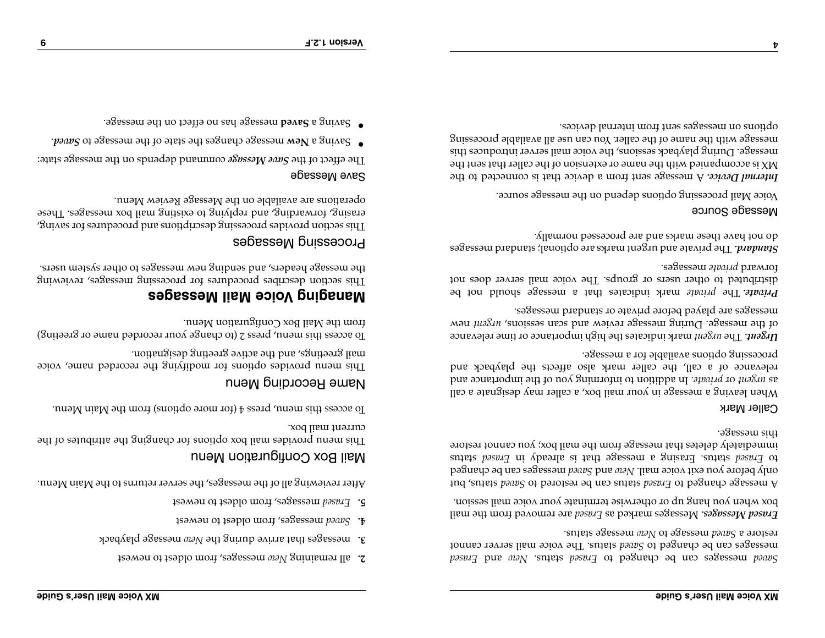- 2. all remaining *New wasages*, from oldest to newest
- **3.** messages that arrive during the New message playback
- messages, from oldest to newest *Saved* **4.**
- messages, from oldest to newest *Erased* **5.**

After reviewing all of the messages, the server returns to the Main Menu.

### Mail Box Configuration Menu

This menu provides mail box options for changing the attributes of the current mail box.

re options) from the Menu mangle  $\frac{1}{2}$  from the Main Menu.

### Name Recording Menu

This menu provides options to recorded name, voice mail greetings, and the active greeting designation.

 $\alpha$ ge your recorded name  $z$  (to cyprex  $z$  and  $\alpha$  and  $\alpha$  are  $\alpha$  and  $\alpha$  )  $\alpha$ from the Mail Box Configuration Menu.

# **Managing Voice Mail Messages**

for processing messages, reviewing This section describes procedures the message headers, and sending new messages to other system users.

### Processing Messages

 $r$ stu $\alpha$ es ro $i$  sampabord pur suondinosap suissabord sapivorq nonbas sid $T$ erasing, forwarding, and replying to existing mail box messages. These operations are available on the Message Review Menu.

#### Save Message

command depends on the message state: *Save Message* The effect of the

- *Paang* of agessam adi to state and sagmands agessam way a gaved.
- **Bessam and no to the on the same message.**  $\bullet$

*Erased* and *New* status. *Erased* messages can be changed to *Saved* status can be changed to *Saved status.* The voice mail server cannot message status. *New* message to *Saved* restore a

 are removed from the mail *Erased* Messages marked as *Erased Messages.*  box when you hang up or otherwise terminate your voice mail session.

status, but *Saveda io Erased status, but is opposed to search* to *Paragraph* put messages are changed *and the manged and <i>seaves* exists of using equalities on the changed that *Erased* status *Erastatus pasual in Erased status pasual of status pasual of*  $\frac{1}{2}$ immediately deletes that message from the mail box; you cannot restore this message.

### Caller Mark

When leaving a message in your mail box, a caller may designate a call . In addition to informing you of the importance and *private* or *urgent* as relevance of a call, the caller mark also affects the playback and processing options available for a message.

 mark indicates the high importance or time relevance *urgent* The *Urgent.*  of the message. During message review and scan easy constant mew messages are played before private or standard messages.

*Private.* The *private share indicates that a herizoral not be* distributed to other users or groups. The voice mail server does not *sagessam appaid* premior

e optional; standard messages The private and urgent marks ar *Standard.*  do not have these marks and are processed normally.

#### Message Source

Voice Mail processing options depend on the message source.

A message sent from a device that is connected to the *Internal Device.*  MX is accompanied with the name or extension of the caller that sent the message. During playback sessions, the voice mail server introduces this message with the name of the caller. You can use all available processing options on messages sent from internal devices.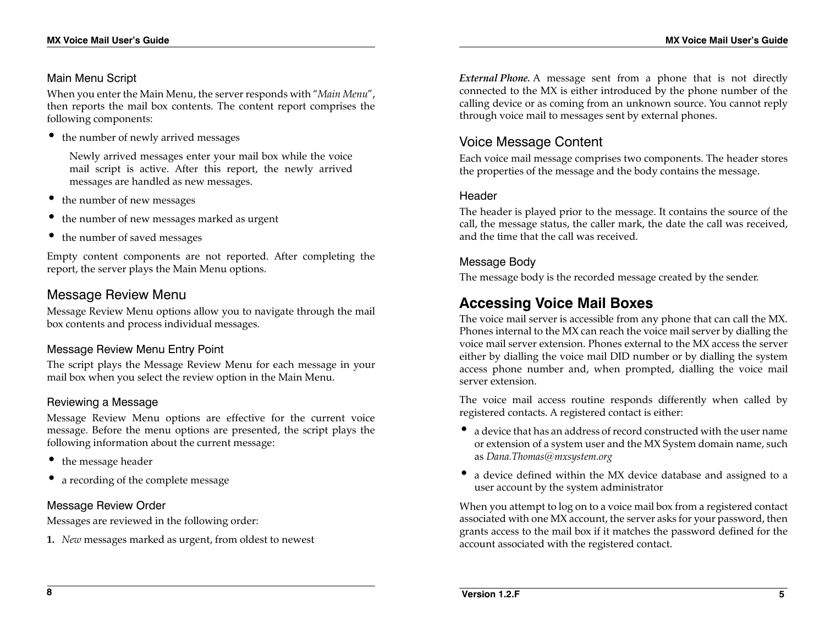#### Main Menu Script

When you enter the Main Menu, the server responds with "*Main Menu*", then reports the mail box contents. The content report comprises the following components:

• the number of newly arrived messages

Newly arrived messages enter your mail box while the voice mail script is active. After this report, the newly arrived messages are handled as new messages.

- the number of new messages
- the number of new messages marked as urgent
- the number of saved messages

Empty content components are not reported. After completing the report, the server plays the Main Menu options.

### Message Review Menu

Message Review Menu options allow you to navigate through the mail box contents and process individual messages.

### Message Review Menu Entry Point

The script plays the Message Review Menu for each message in your mail box when you select the review option in the Main Menu.

### Reviewing a Message

Message Review Menu options are effective for the current voice message. Before the menu options are presented, the script plays the following information about the current message:

- the message header
- a recording of the complete message

### Message Review Order

Messages are reviewed in the following order:

**1.** *New* messages marked as urgent, from oldest to newest

*External Phone.* A message sent from a phone that is not directly connected to the MX is either introduced by the phone number of the calling device or as coming from an unknown source. You cannot reply through voice mail to messages sent by external phones.

## Voice Message Content

Each voice mail message comprises two components. The header stores the properties of the message and the body contains the message.

### Header

The header is played prior to the message. It contains the source of the call, the message status, the caller mark, the date the call was received, and the time that the call was received.

### Message Body

The message body is the recorded message created by the sender.

# **Accessing Voice Mail Boxes**

The voice mail server is accessible from any phone that can call the MX. Phones internal to the MX can reach the voice mail server by dialling the voice mail server extension. Phones external to the MX access the server either by dialling the voice mail DID number or by dialling the system access phone number and, when prompted, dialling the voice mail server extension.

The voice mail access routine responds differently when called by registered contacts. A registered contact is either:

- a device that has an address of record constructed with the user name or extension of a system user and the MX System domain name, such as *Dana.Thomas@mxsystem.org*
- a device defined within the MX device database and assigned to a user account by the system administrator

When you attempt to log on to a voice mail box from a registered contact associated with one MX account, the server asks for your password, then grants access to the mail box if it matches the password defined for the account associated with the registered contact.